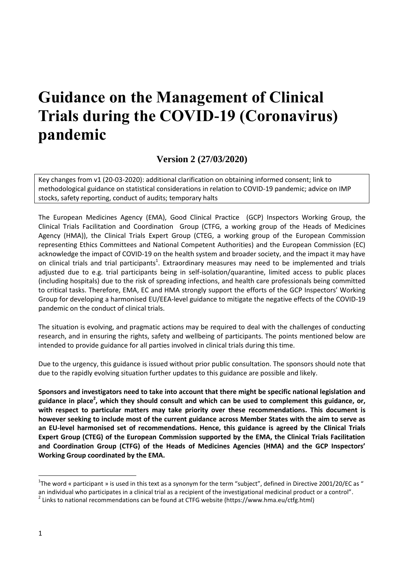# **Guidance on the Management of Clinical Trials during the COVID-19 (Coronavirus) pandemic**

**Version 2 (27/03/2020)**

Key changes from v1 (20-03-2020): additional clarification on obtaining informed consent; link to methodological guidance on statistical considerations in relation to COVID-19 pandemic; advice on IMP stocks, safety reporting, conduct of audits; temporary halts

The European Medicines Agency (EMA), Good Clinical Practice (GCP) Inspectors Working Group, the Clinical Trials Facilitation and Coordination Group (CTFG, a working group of the Heads of Medicines Agency (HMA)), the Clinical Trials Expert Group (CTEG, a working group of the European Commission representing Ethics Committees and National Competent Authorities) and the European Commission (EC) acknowledge the impact of COVID-19 on the health system and broader society, and the impact it may have on clinical trials and trial participants<sup>1</sup>. Extraordinary measures may need to be implemented and trials adjusted due to e.g. trial participants being in self-isolation/quarantine, limited access to public places (including hospitals) due to the risk of spreading infections, and health care professionals being committed to critical tasks. Therefore, EMA, EC and HMA strongly support the efforts of the GCP Inspectors' Working Group for developing a harmonised EU/EEA-level guidance to mitigate the negative effects of the COVID-19 pandemic on the conduct of clinical trials.

The situation is evolving, and pragmatic actions may be required to deal with the challenges of conducting research, and in ensuring the rights, safety and wellbeing of participants. The points mentioned below are intended to provide guidance for all parties involved in clinical trials during this time.

Due to the urgency, this guidance is issued without prior public consultation. The sponsors should note that due to the rapidly evolving situation further updates to this guidance are possible and likely.

**Sponsors and investigators need to take into account that there might be specific national legislation and guidance in place<sup>2</sup> , which they should consult and which can be used to complement this guidance, or, with respect to particular matters may take priority over these recommendations. This document is however seeking to include most of the current guidance across Member States with the aim to serve as an EU-level harmonised set of recommendations. Hence, this guidance is agreed by the Clinical Trials Expert Group (CTEG) of the European Commission supported by the EMA, the Clinical Trials Facilitation and Coordination Group (CTFG) of the Heads of Medicines Agencies (HMA) and the GCP Inspectors' Working Group coordinated by the EMA.**

<sup>&</sup>lt;sup>1</sup>The word « participant » is used in this text as a synonym for the term "subject", defined in Directive 2001/20/EC as " an individual who participates in a clinical trial as a recipient of the investigational medicinal product or a control".

<sup>&</sup>lt;sup>2</sup> Links to national recommendations can be found at CTFG website (https://www.hma.eu/ctfg.html)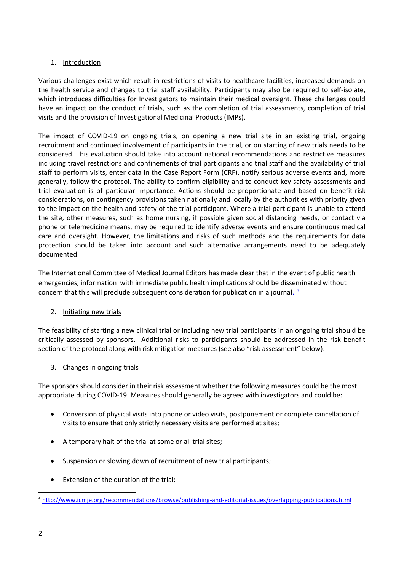## 1. Introduction

Various challenges exist which result in restrictions of visits to healthcare facilities, increased demands on the health service and changes to trial staff availability. Participants may also be required to self-isolate, which introduces difficulties for Investigators to maintain their medical oversight. These challenges could have an impact on the conduct of trials, such as the completion of trial assessments, completion of trial visits and the provision of Investigational Medicinal Products (IMPs).

The impact of COVID-19 on ongoing trials, on opening a new trial site in an existing trial, ongoing recruitment and continued involvement of participants in the trial, or on starting of new trials needs to be considered. This evaluation should take into account national recommendations and restrictive measures including travel restrictions and confinements of trial participants and trial staff and the availability of trial staff to perform visits, enter data in the Case Report Form (CRF), notify serious adverse events and, more generally, follow the protocol. The ability to confirm eligibility and to conduct key safety assessments and trial evaluation is of particular importance. Actions should be proportionate and based on benefit-risk considerations, on contingency provisions taken nationally and locally by the authorities with priority given to the impact on the health and safety of the trial participant. Where a trial participant is unable to attend the site, other measures, such as home nursing, if possible given social distancing needs, or contact via phone or telemedicine means, may be required to identify adverse events and ensure continuous medical care and oversight. However, the limitations and risks of such methods and the requirements for data protection should be taken into account and such alternative arrangements need to be adequately documented.

The International Committee of Medical Journal Editors has made clear that in the event of public health emergencies, information with immediate public health implications should be disseminated without concern that this will preclude subsequent consideration for publication in a journal.<sup>3</sup>

## 2. Initiating new trials

The feasibility of starting a new clinical trial or including new trial participants in an ongoing trial should be critically assessed by sponsors. Additional risks to participants should be addressed in the risk benefit section of the protocol along with risk mitigation measures (see also "risk assessment" below).

## 3. Changes in ongoing trials

The sponsors should consider in their risk assessment whether the following measures could be the most appropriate during COVID-19. Measures should generally be agreed with investigators and could be:

- Conversion of physical visits into phone or video visits, postponement or complete cancellation of visits to ensure that only strictly necessary visits are performed at sites;
- A temporary halt of the trial at some or all trial sites;
- Suspension or slowing down of recruitment of new trial participants;
- Extension of the duration of the trial;

<sup>1</sup> <sup>3</sup> <http://www.icmje.org/recommendations/browse/publishing-and-editorial-issues/overlapping-publications.html>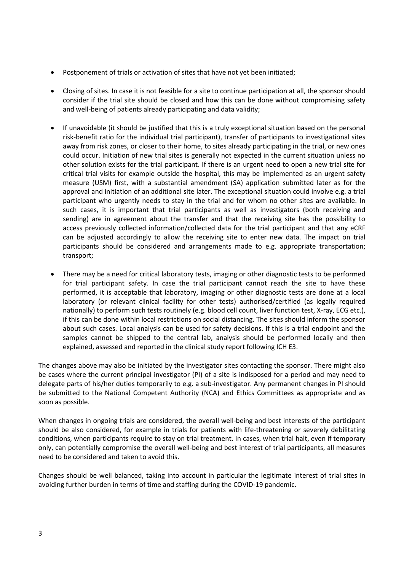- Postponement of trials or activation of sites that have not yet been initiated;
- Closing of sites. In case it is not feasible for a site to continue participation at all, the sponsor should consider if the trial site should be closed and how this can be done without compromising safety and well-being of patients already participating and data validity;
- If unavoidable (it should be justified that this is a truly exceptional situation based on the personal risk-benefit ratio for the individual trial participant), transfer of participants to investigational sites away from risk zones, or closer to their home, to sites already participating in the trial, or new ones could occur. Initiation of new trial sites is generally not expected in the current situation unless no other solution exists for the trial participant. If there is an urgent need to open a new trial site for critical trial visits for example outside the hospital, this may be implemented as an urgent safety measure (USM) first, with a substantial amendment (SA) application submitted later as for the approval and initiation of an additional site later. The exceptional situation could involve e.g. a trial participant who urgently needs to stay in the trial and for whom no other sites are available. In such cases, it is important that trial participants as well as investigators (both receiving and sending) are in agreement about the transfer and that the receiving site has the possibility to access previously collected information/collected data for the trial participant and that any eCRF can be adjusted accordingly to allow the receiving site to enter new data. The impact on trial participants should be considered and arrangements made to e.g. appropriate transportation; transport;
- There may be a need for critical laboratory tests, imaging or other diagnostic tests to be performed for trial participant safety. In case the trial participant cannot reach the site to have these performed, it is acceptable that laboratory, imaging or other diagnostic tests are done at a local laboratory (or relevant clinical facility for other tests) authorised/certified (as legally required nationally) to perform such tests routinely (e.g. blood cell count, liver function test, X-ray, ECG etc.), if this can be done within local restrictions on social distancing. The sites should inform the sponsor about such cases. Local analysis can be used for safety decisions. If this is a trial endpoint and the samples cannot be shipped to the central lab, analysis should be performed locally and then explained, assessed and reported in the clinical study report following ICH E3.

The changes above may also be initiated by the investigator sites contacting the sponsor. There might also be cases where the current principal investigator (PI) of a site is indisposed for a period and may need to delegate parts of his/her duties temporarily to e.g. a sub-investigator. Any permanent changes in PI should be submitted to the National Competent Authority (NCA) and Ethics Committees as appropriate and as soon as possible.

When changes in ongoing trials are considered, the overall well-being and best interests of the participant should be also considered, for example in trials for patients with life-threatening or severely debilitating conditions, when participants require to stay on trial treatment. In cases, when trial halt, even if temporary only, can potentially compromise the overall well-being and best interest of trial participants, all measures need to be considered and taken to avoid this.

Changes should be well balanced, taking into account in particular the legitimate interest of trial sites in avoiding further burden in terms of time and staffing during the COVID-19 pandemic.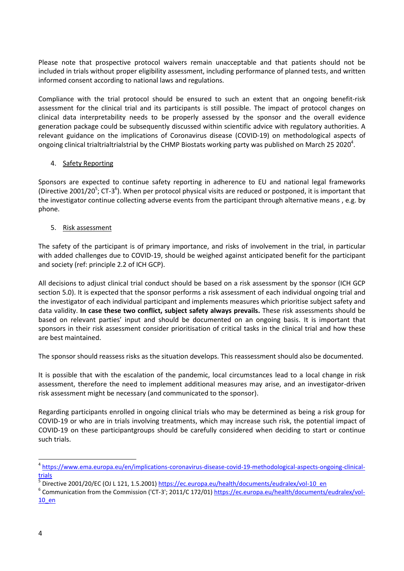Please note that prospective protocol waivers remain unacceptable and that patients should not be included in trials without proper eligibility assessment, including performance of planned tests, and written informed consent according to national laws and regulations.

Compliance with the trial protocol should be ensured to such an extent that an ongoing benefit-risk assessment for the clinical trial and its participants is still possible. The impact of protocol changes on clinical data interpretability needs to be properly assessed by the sponsor and the overall evidence generation package could be subsequently discussed within scientific advice with regulatory authorities. A relevant guidance on the implications of Coronavirus disease (COVID-19) on methodological aspects of ongoing clinical trialtrialtrialstrial by the CHMP Biostats working party was published on March 25 2020<sup>4</sup>.

## 4. Safety Reporting

Sponsors are expected to continue safety reporting in adherence to EU and national legal frameworks (Directive 2001/20<sup>5</sup>; CT-3<sup>6</sup>). When per protocol physical visits are reduced or postponed, it is important that the investigator continue collecting adverse events from the participant through alternative means , e.g. by phone.

## 5. Risk assessment

The safety of the participant is of primary importance, and risks of involvement in the trial, in particular with added challenges due to COVID-19, should be weighed against anticipated benefit for the participant and society (ref: principle 2.2 of ICH GCP).

All decisions to adjust clinical trial conduct should be based on a risk assessment by the sponsor (ICH GCP section 5.0). It is expected that the sponsor performs a risk assessment of each individual ongoing trial and the investigator of each individual participant and implements measures which prioritise subject safety and data validity. **In case these two conflict, subject safety always prevails.** These risk assessments should be based on relevant parties' input and should be documented on an ongoing basis. It is important that sponsors in their risk assessment consider prioritisation of critical tasks in the clinical trial and how these are best maintained.

The sponsor should reassess risks as the situation develops. This reassessment should also be documented.

It is possible that with the escalation of the pandemic, local circumstances lead to a local change in risk assessment, therefore the need to implement additional measures may arise, and an investigator-driven risk assessment might be necessary (and communicated to the sponsor).

Regarding participants enrolled in ongoing clinical trials who may be determined as being a risk group for COVID-19 or who are in trials involving treatments, which may increase such risk, the potential impact of COVID-19 on these participantgroups should be carefully considered when deciding to start or continue such trials.

<sup>&</sup>lt;sup>4</sup> [https://www.ema.europa.eu/en/implications-coronavirus-disease-covid-19-methodological-aspects-ongoing-clinical](https://www.ema.europa.eu/en/implications-coronavirus-disease-covid-19-methodological-aspects-ongoing-clinical-trials)[trials](https://www.ema.europa.eu/en/implications-coronavirus-disease-covid-19-methodological-aspects-ongoing-clinical-trials)

<sup>&</sup>lt;sup>5</sup> Directive 2001/20/EC (OJ L 121, 1.5.2001) [https://ec.europa.eu/health/documents/eudralex/vol-10\\_en](https://ec.europa.eu/health/documents/eudralex/vol-10_en)

<sup>&</sup>lt;sup>6</sup> Communication from the Commission ('CT-3'; 2011/C 172/01) [https://ec.europa.eu/health/documents/eudralex/vol-](https://ec.europa.eu/health/documents/eudralex/vol-10_en)[10\\_en](https://ec.europa.eu/health/documents/eudralex/vol-10_en)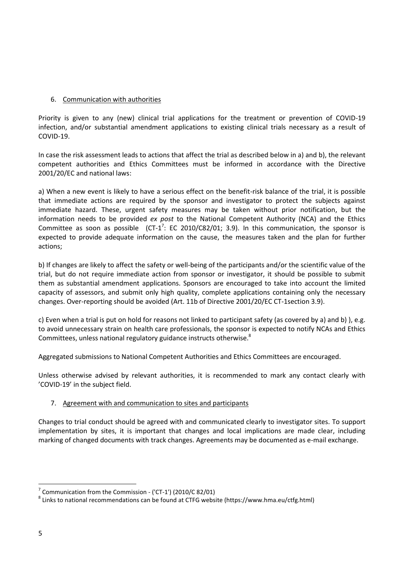## 6. Communication with authorities

Priority is given to any (new) clinical trial applications for the treatment or prevention of COVID-19 infection, and/or substantial amendment applications to existing clinical trials necessary as a result of COVID-19.

In case the risk assessment leads to actions that affect the trial as described below in a) and b), the relevant competent authorities and Ethics Committees must be informed in accordance with the Directive 2001/20/EC and national laws:

a) When a new event is likely to have a serious effect on the benefit-risk balance of the trial, it is possible that immediate actions are required by the sponsor and investigator to protect the subjects against immediate hazard. These, urgent safety measures may be taken without prior notification, but the information needs to be provided *ex post* to the National Competent Authority (NCA) and the Ethics Committee as soon as possible  $(CT-1^7: EC 2010/C82/01; 3.9)$ . In this communication, the sponsor is expected to provide adequate information on the cause, the measures taken and the plan for further actions;

b) If changes are likely to affect the safety or well-being of the participants and/or the scientific value of the trial, but do not require immediate action from sponsor or investigator, it should be possible to submit them as substantial amendment applications. Sponsors are encouraged to take into account the limited capacity of assessors, and submit only high quality, complete applications containing only the necessary changes. Over-reporting should be avoided (Art. 11b of Directive 2001/20/EC CT-1section 3.9).

c) Even when a trial is put on hold for reasons not linked to participant safety (as covered by a) and b) ), e.g. to avoid unnecessary strain on health care professionals, the sponsor is expected to notify NCAs and Ethics Committees, unless national regulatory guidance instructs otherwise.<sup>8</sup>

Aggregated submissions to National Competent Authorities and Ethics Committees are encouraged.

Unless otherwise advised by relevant authorities, it is recommended to mark any contact clearly with 'COVID-19' in the subject field.

## 7. Agreement with and communication to sites and participants

Changes to trial conduct should be agreed with and communicated clearly to investigator sites. To support implementation by sites, it is important that changes and local implications are made clear, including marking of changed documents with track changes. Agreements may be documented as e-mail exchange.

 $7$  Communication from the Commission - ('CT-1') (2010/C 82/01)

<sup>&</sup>lt;sup>8</sup> Links to national recommendations can be found at CTFG website (https://www.hma.eu/ctfg.html)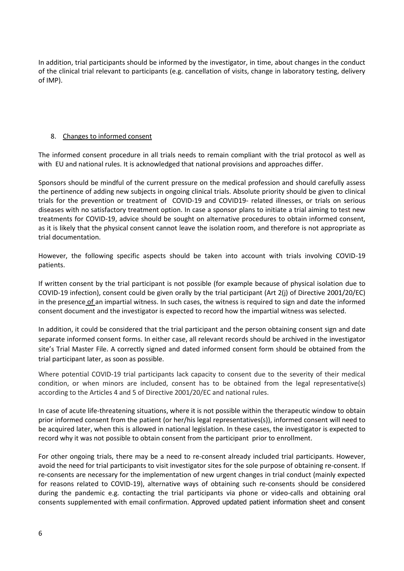In addition, trial participants should be informed by the investigator, in time, about changes in the conduct of the clinical trial relevant to participants (e.g. cancellation of visits, change in laboratory testing, delivery of IMP).

## 8. Changes to informed consent

The informed consent procedure in all trials needs to remain compliant with the trial protocol as well as with EU and national rules. It is acknowledged that national provisions and approaches differ.

Sponsors should be mindful of the current pressure on the medical profession and should carefully assess the pertinence of adding new subjects in ongoing clinical trials. Absolute priority should be given to clinical trials for the prevention or treatment of COVID-19 and COVID19- related illnesses, or trials on serious diseases with no satisfactory treatment option. In case a sponsor plans to initiate a trial aiming to test new treatments for COVID-19, advice should be sought on alternative procedures to obtain informed consent, as it is likely that the physical consent cannot leave the isolation room, and therefore is not appropriate as trial documentation.

However, the following specific aspects should be taken into account with trials involving COVID-19 patients.

If written consent by the trial participant is not possible (for example because of physical isolation due to COVID-19 infection), consent could be given orally by the trial participant (Art 2(j) of Directive 2001/20/EC) in the presence of an impartial witness. In such cases, the witness is required to sign and date the informed consent document and the investigator is expected to record how the impartial witness was selected.

In addition, it could be considered that the trial participant and the person obtaining consent sign and date separate informed consent forms. In either case, all relevant records should be archived in the investigator site's Trial Master File. A correctly signed and dated informed consent form should be obtained from the trial participant later, as soon as possible.

Where potential COVID-19 trial participants lack capacity to consent due to the severity of their medical condition, or when minors are included, consent has to be obtained from the legal representative(s) according to the Articles 4 and 5 of Directive 2001/20/EC and national rules.

In case of acute life-threatening situations, where it is not possible within the therapeutic window to obtain prior informed consent from the patient (or her/his legal representatives(s)), informed consent will need to be acquired later, when this is allowed in national legislation. In these cases, the investigator is expected to record why it was not possible to obtain consent from the participant prior to enrollment.

For other ongoing trials, there may be a need to re-consent already included trial participants. However, avoid the need for trial participants to visit investigator sites for the sole purpose of obtaining re-consent. If re-consents are necessary for the implementation of new urgent changes in trial conduct (mainly expected for reasons related to COVID-19), alternative ways of obtaining such re-consents should be considered during the pandemic e.g. contacting the trial participants via phone or video-calls and obtaining oral consents supplemented with email confirmation. Approved updated patient information sheet and consent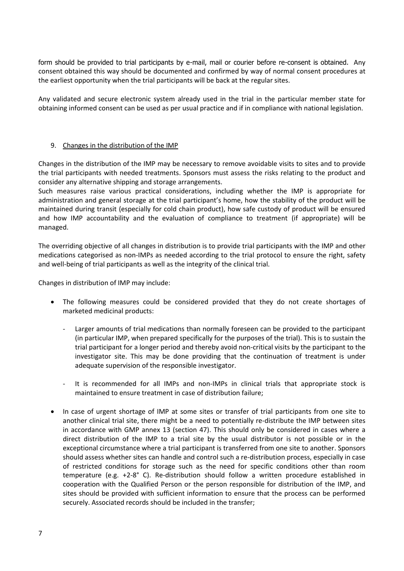form should be provided to trial participants by e-mail, mail or courier before re-consent is obtained. Any consent obtained this way should be documented and confirmed by way of normal consent procedures at the earliest opportunity when the trial participants will be back at the regular sites.

Any validated and secure electronic system already used in the trial in the particular member state for obtaining informed consent can be used as per usual practice and if in compliance with national legislation.

#### 9. Changes in the distribution of the IMP

Changes in the distribution of the IMP may be necessary to remove avoidable visits to sites and to provide the trial participants with needed treatments. Sponsors must assess the risks relating to the product and consider any alternative shipping and storage arrangements.

Such measures raise various practical considerations, including whether the IMP is appropriate for administration and general storage at the trial participant's home, how the stability of the product will be maintained during transit (especially for cold chain product), how safe custody of product will be ensured and how IMP accountability and the evaluation of compliance to treatment (if appropriate) will be managed.

The overriding objective of all changes in distribution is to provide trial participants with the IMP and other medications categorised as non-IMPs as needed according to the trial protocol to ensure the right, safety and well-being of trial participants as well as the integrity of the clinical trial.

Changes in distribution of IMP may include:

- The following measures could be considered provided that they do not create shortages of marketed medicinal products:
	- Larger amounts of trial medications than normally foreseen can be provided to the participant (in particular IMP, when prepared specifically for the purposes of the trial). This is to sustain the trial participant for a longer period and thereby avoid non-critical visits by the participant to the investigator site. This may be done providing that the continuation of treatment is under adequate supervision of the responsible investigator.
	- It is recommended for all IMPs and non-IMPs in clinical trials that appropriate stock is maintained to ensure treatment in case of distribution failure;
- In case of urgent shortage of IMP at some sites or transfer of trial participants from one site to another clinical trial site, there might be a need to potentially re-distribute the IMP between sites in accordance with GMP annex 13 (section 47). This should only be considered in cases where a direct distribution of the IMP to a trial site by the usual distributor is not possible or in the exceptional circumstance where a trial participant is transferred from one site to another. Sponsors should assess whether sites can handle and control such a re-distribution process, especially in case of restricted conditions for storage such as the need for specific conditions other than room temperature (e.g. +2-8° C). Re-distribution should follow a written procedure established in cooperation with the Qualified Person or the person responsible for distribution of the IMP, and sites should be provided with sufficient information to ensure that the process can be performed securely. Associated records should be included in the transfer;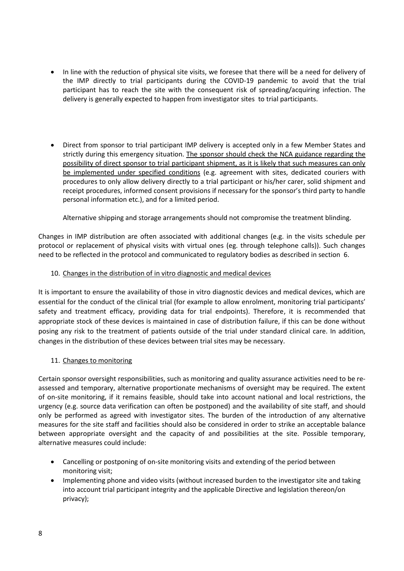- In line with the reduction of physical site visits, we foresee that there will be a need for delivery of the IMP directly to trial participants during the COVID-19 pandemic to avoid that the trial participant has to reach the site with the consequent risk of spreading/acquiring infection. The delivery is generally expected to happen from investigator sites to trial participants.
- Direct from sponsor to trial participant IMP delivery is accepted only in a few Member States and strictly during this emergency situation. The sponsor should check the NCA guidance regarding the possibility of direct sponsor to trial participant shipment, as it is likely that such measures can only be implemented under specified conditions (e.g. agreement with sites, dedicated couriers with procedures to only allow delivery directly to a trial participant or his/her carer, solid shipment and receipt procedures, informed consent provisions if necessary for the sponsor's third party to handle personal information etc.), and for a limited period.

Alternative shipping and storage arrangements should not compromise the treatment blinding.

Changes in IMP distribution are often associated with additional changes (e.g. in the visits schedule per protocol or replacement of physical visits with virtual ones (eg. through telephone calls)). Such changes need to be reflected in the protocol and communicated to regulatory bodies as described in section 6.

## 10. Changes in the distribution of in vitro diagnostic and medical devices

It is important to ensure the availability of those in vitro diagnostic devices and medical devices, which are essential for the conduct of the clinical trial (for example to allow enrolment, monitoring trial participants' safety and treatment efficacy, providing data for trial endpoints). Therefore, it is recommended that appropriate stock of these devices is maintained in case of distribution failure, if this can be done without posing any risk to the treatment of patients outside of the trial under standard clinical care. In addition, changes in the distribution of these devices between trial sites may be necessary.

## 11. Changes to monitoring

Certain sponsor oversight responsibilities, such as monitoring and quality assurance activities need to be reassessed and temporary, alternative proportionate mechanisms of oversight may be required. The extent of on-site monitoring, if it remains feasible, should take into account national and local restrictions, the urgency (e.g. source data verification can often be postponed) and the availability of site staff, and should only be performed as agreed with investigator sites. The burden of the introduction of any alternative measures for the site staff and facilities should also be considered in order to strike an acceptable balance between appropriate oversight and the capacity of and possibilities at the site. Possible temporary, alternative measures could include:

- Cancelling or postponing of on-site monitoring visits and extending of the period between monitoring visit;
- Implementing phone and video visits (without increased burden to the investigator site and taking into account trial participant integrity and the applicable Directive and legislation thereon/on privacy);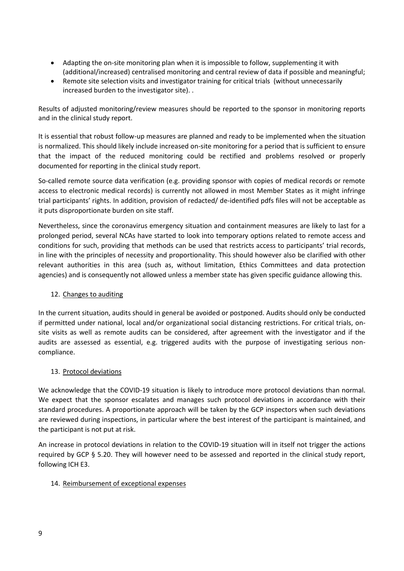- Adapting the on-site monitoring plan when it is impossible to follow, supplementing it with (additional/increased) centralised monitoring and central review of data if possible and meaningful;
- Remote site selection visits and investigator training for critical trials (without unnecessarily increased burden to the investigator site). .

Results of adjusted monitoring/review measures should be reported to the sponsor in monitoring reports and in the clinical study report.

It is essential that robust follow-up measures are planned and ready to be implemented when the situation is normalized. This should likely include increased on-site monitoring for a period that is sufficient to ensure that the impact of the reduced monitoring could be rectified and problems resolved or properly documented for reporting in the clinical study report.

So-called remote source data verification (e.g. providing sponsor with copies of medical records or remote access to electronic medical records) is currently not allowed in most Member States as it might infringe trial participants' rights. In addition, provision of redacted/ de-identified pdfs files will not be acceptable as it puts disproportionate burden on site staff.

Nevertheless, since the coronavirus emergency situation and containment measures are likely to last for a prolonged period, several NCAs have started to look into temporary options related to remote access and conditions for such, providing that methods can be used that restricts access to participants' trial records, in line with the principles of necessity and proportionality. This should however also be clarified with other relevant authorities in this area (such as, without limitation, Ethics Committees and data protection agencies) and is consequently not allowed unless a member state has given specific guidance allowing this.

## 12. Changes to auditing

In the current situation, audits should in general be avoided or postponed. Audits should only be conducted if permitted under national, local and/or organizational social distancing restrictions. For critical trials, onsite visits as well as remote audits can be considered, after agreement with the investigator and if the audits are assessed as essential, e.g. triggered audits with the purpose of investigating serious noncompliance.

## 13. Protocol deviations

We acknowledge that the COVID-19 situation is likely to introduce more protocol deviations than normal. We expect that the sponsor escalates and manages such protocol deviations in accordance with their standard procedures. A proportionate approach will be taken by the GCP inspectors when such deviations are reviewed during inspections, in particular where the best interest of the participant is maintained, and the participant is not put at risk.

An increase in protocol deviations in relation to the COVID-19 situation will in itself not trigger the actions required by GCP § 5.20. They will however need to be assessed and reported in the clinical study report, following ICH E3.

## 14. Reimbursement of exceptional expenses